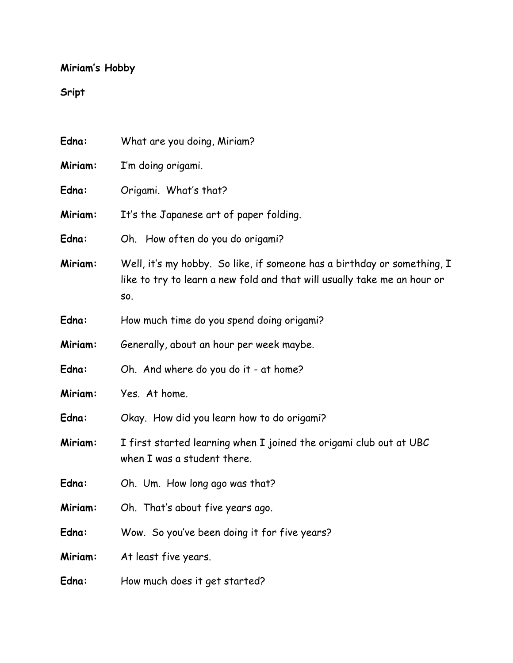## **Miriam's Hobby**

## **Sript**

| Edna:   | What are you doing, Miriam?                                                                                                                                |
|---------|------------------------------------------------------------------------------------------------------------------------------------------------------------|
| Miriam: | I'm doing origami.                                                                                                                                         |
| Edna:   | Origami. What's that?                                                                                                                                      |
| Miriam: | It's the Japanese art of paper folding.                                                                                                                    |
| Edna:   | Oh. How often do you do origami?                                                                                                                           |
| Miriam: | Well, it's my hobby. So like, if someone has a birthday or something, I<br>like to try to learn a new fold and that will usually take me an hour or<br>SO. |
| Edna:   | How much time do you spend doing origami?                                                                                                                  |
| Miriam: | Generally, about an hour per week maybe.                                                                                                                   |
| Edna:   | Oh. And where do you do it - at home?                                                                                                                      |
| Miriam: | Yes. At home.                                                                                                                                              |
| Edna:   | Okay. How did you learn how to do origami?                                                                                                                 |
| Miriam: | I first started learning when I joined the origami club out at UBC<br>when I was a student there.                                                          |
| Edna:   | Oh. Um. How long ago was that?                                                                                                                             |
| Miriam: | Oh. That's about five years ago.                                                                                                                           |
| Edna:   | Wow. So you've been doing it for five years?                                                                                                               |
| Miriam: | At least five years.                                                                                                                                       |
| Edna:   | How much does it get started?                                                                                                                              |